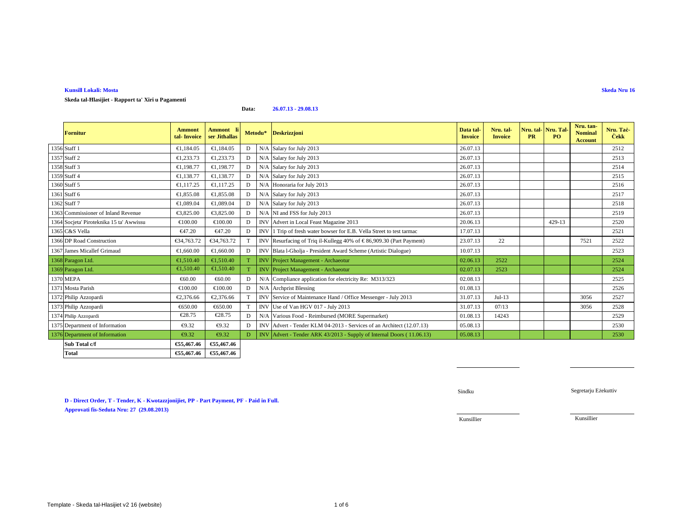# **Kunsill Lokali: Mosta**

**Skeda tal-Ħlasijiet - Rapport ta' Xiri u Pagamenti**

**ForniturAmmont description of the Invoice Ammont li ser Jithallas <b>Deskrizzjoni Deskrizzjoni Data tal-** Invoice description of the Invoice of the Invoice of the Invoice of the Invoice of the Invoice of the Invoice of the Invo **Nru. tal- Invoice Nru. tal- PR Nru. Tal- PO Nru. tan- Nominal Account Nru. Taċ- <sup>Ċ</sup>ekk** 1356 Staff 1 $\left\{\text{€1,184.05 }\right\}$   $\left\{\text{€1,184.05 }\right\}$  D N/A Salary for July 2013 26.07.13 2512 1357 Staff 2 $\left\{\text{ } \in \{1,233.73 \mid \text{ } \in \{1,233.73 \mid \text{ } D \mid \text{ } N/A \text{ Salary for July 2013} } \right\}$  2513 1358 Staff 33 a a  $\left\{ \begin{array}{c} \in \\ \in \\ \in \end{array} \right.$  5.198.77  $\left\{ \begin{array}{c} \in \\ \in \end{array} \right.$  D | N/A Salary for July 2013 25.07.13 26.07.13 25.07.13 25.14 1359 Staff 44 a contract a contract €1,138.77 |  $\bullet$  | N/A Salary for July 2013 26.07.13 | 26.07.13 | 2515 1360 Staff 55 61,117.25 €1,117.25 D N/A Honoraria for July 2013 26.07.13 26.07.13 1361 Staff 66 **E1,855.08** €1,855.08 D N/A Salary for July 2013 26.07.13 26.07.13 1362 Staff 7 $\begin{bmatrix} \text{€1,089.04} & \text{€1,089.04} \end{bmatrix}$  D N/A Salary for July 2013 26.07.13 2518 1363 Commissioner of Inland Revenue €3,825.00 €3,825.0 D N/A NI and FSS for July 2013 $26.07.13$  2519 1364 Socjeta' Piroteknika 15 ta' Awwissu €100.00 €100.00 D INV Advert in Local Feast Magazine 201320.06.13 429-13 2520 1365 C&S Vella  $647.20$   $647.20$  D INV 1 Trip of fresh waterbowser for E.B. Vella Street to test tarmac 17.07.13  $\overline{3}$  2521 1366 DP Road Construction **€34,763.72 €34,763.72** T INV Resurfacing of Triq il-Kullegg 40% of €86,909.30 (Part Payment) 23.07.13 22 7521 7521 2522 2523 1367 James Micallef Grimaud €1,660.00 €1,660.00 D INV Blata l-Gholja - President Award Scheme (Artistic Dialogue) 10.07.13 <sup>2523</sup> 1368 Paragon Ltd. **E1,510.40** €1,510.40 T INV Project Managment - Archaeotur  $r = 2522$ 2 | 2524 1369 Paragon Ltd. 61,510.40 €1,510.40 <sup>T</sup> INV Project Management - Archaeotur02.07.13 2523 2524 1370 MEPA €60.00 €60.00 <sup>D</sup> N/A Compliance application for electricity Re: M313/323 02.08.13 <sup>2525</sup>  $1371$  Mosta Parish  $100.03$   $100.00$   $\rightarrow$   $6100.00$   $\rightarrow$  D  $\rightarrow$  N/A Archprist Blessing 01.08.13 2526 1372 Philip Azzopardi €2,376.66 €2,376.66 T INV Service of Maintenance Hand / Office Messenger - July 2013 31.07.13 Jul-13 3056 25272528 1373 Philip Azzopardi €650.00 €650.00 T | INV Use of Van HGV 017 - July 2013 31.07.13 07/13 <sup>3056</sup> <sup>2528</sup> 1374 Philip Azzopardi  $\epsilon$ 28.75  $\epsilon$ 28.75 D N/A Various Food - Reimbursed (MORE Supermarket) 01.08.13 14243 2529  $1375$  Department of Information  $\epsilon_{9.32}$   $\epsilon_{9.32}$  D INV Advert Tender KLM 04-2013 - Services of an Architect (12.07.13) 05.08.13 2530 1376 Department of Information  $\epsilon_{9.32}$   $\epsilon_{9.32}$  D INV Advert - Tender ARK 43/2013 - Supply of Internal Doors (11.06.13) 05.08.13 2530 **Sub Total c/f €55,467.46 €55,467.46**€55,467.46 **Total €55,467.46 €55,467.46Metodu\***

**Data:**

**26.07.13 - 29.08.13**

**D - Direct Order, T - Tender, K - Kwotazzjonijiet, PP - Part Payment, PF - Paid in Full.Approvati fis-Seduta Nru: 27 (29.08.2013)**

**Skeda Nru 16**

Sindku

Kunsillier

Kunsillier

Segretarju Eżekuttiv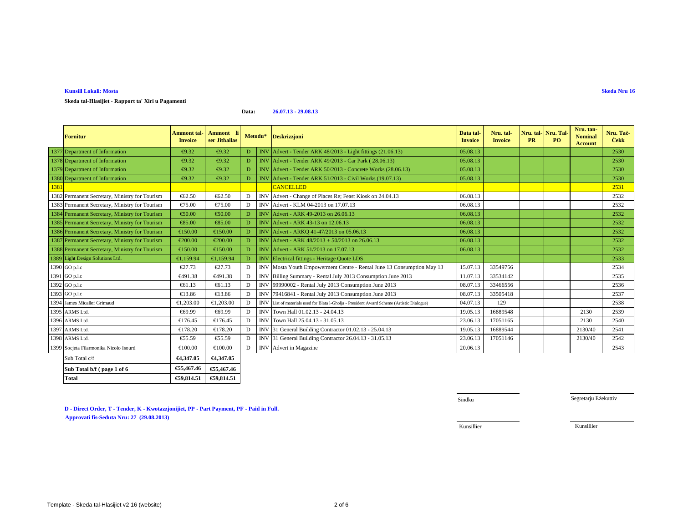**Total**

**Kunsill Lokali: Mosta**

**Fornitur**

**Skeda tal-Ħlasijiet - Rapport ta' Xiri u Pagamenti**

|      | Sub Total b/f (page 1 of 6                     | €55,467.46              | €55,467.46 |    |            |                                                                                            |          |          |  |         |      |
|------|------------------------------------------------|-------------------------|------------|----|------------|--------------------------------------------------------------------------------------------|----------|----------|--|---------|------|
|      | Sub Total c/f                                  | €4,347.05               | €4,347.05  |    |            |                                                                                            |          |          |  |         |      |
|      | 1399 Socjeta Filarmonika Nicolo Isourd         | €100.00                 | €100.00    | D  | <b>INV</b> | Advert in Magazine                                                                         | 20.06.13 |          |  |         | 2543 |
|      | 1398 ARMS Ltd.                                 | €55.59                  | €55.59     | D  |            | INV 31 General Building Contractor 26.4.13 - 31.05.13                                      | 23.06.13 | 17051146 |  | 2130/40 | 2542 |
|      | 1397 ARMS Ltd.                                 | €178.20                 | €178.20    | D  | <b>INV</b> | 31 General Building Contractor 0102.13 - 25.04.13                                          | 19.05.13 | 16889544 |  | 2130/40 | 2541 |
|      | 1396 ARMS Ltd.                                 | €176.45                 | €176.45    | D  | <b>INV</b> | Town Hall 25.04.13 - 31.05.13                                                              | 23.06.13 | 17051165 |  | 2130    | 2540 |
|      | 1395 ARMS Ltd.                                 | €69.99                  | €69.99     | D  | <b>INV</b> | Town Hall 01.02.13 - 24.04.13                                                              | 19.05.13 | 16889548 |  | 2130    | 2539 |
|      | 1394 James Micallef Grimaud                    | €1,203.00               | €1,203.00  | D  |            | INV List of materials used for Blata l-Gholja - President Award Scheme (Artistic Dialogue) | 04.07.13 | 129      |  |         | 2538 |
|      | 1393 GO p.l.c                                  | €13.86                  | €13.86     | D  | <b>INV</b> | 79416841 - Rental July 2013 Consumpion June 2013                                           | 08.07.13 | 33505418 |  |         | 2537 |
|      | 1392 GO p.l.c                                  | €61.13                  | €61.13     | D  | <b>INV</b> | 99990002 - Rental July 2013 Consumption June 2013                                          | 08.07.13 | 33466556 |  |         | 2536 |
|      | 1391 GO p.l.c                                  | €491.38                 | €491.38    | D  | <b>INV</b> | Billing Summary - Rental July 208 Consumption June 2013                                    | 11.07.13 | 33534142 |  |         | 2535 |
|      | 1390 GO p.l.c                                  | €27.73                  | €27.73     | D  | <b>INV</b> | Mosta Youth Empowerment Centre - Ratal June 13 Consumption May 13                          | 15.07.13 | 33549756 |  |         | 2534 |
|      | 1389 Light Design Solutions Ltd.               | €1,159.94               | €1,159.94  | D  | <b>INV</b> | <b>Electrical fittings - Heritag Quote LDS</b>                                             |          |          |  |         | 2533 |
|      | 1388 Permanent Secretary, Ministry for Tourism | €150. $@$               | €150.00    | D  |            | INV Advert - ARK 51/2013 on 17.07.13                                                       | 06.08.13 |          |  |         | 2532 |
|      | 1387 Permanent Secretary, Ministry for Tourism | €200. $\textcircled{0}$ | €200.00    | D  |            | INV Advert - ARK $48/2013 + 50/2013$ on 26.0613                                            | 06.08.13 |          |  |         | 2532 |
|      | 1386 Permanent Secretary, Ministry for Tourism | €150. $\omega$          | €150.00    | D  | <b>INV</b> | Advert - ARKQ 41-47/2013 on 05.06.13                                                       | 06.08.13 |          |  |         | 2532 |
|      | 1385 Permanent Secretary, Ministry for Tourism | €85.00                  | €85.00     | D  |            | INV Advert - ARK 43-13 on 12.06.13                                                         | 06.08.13 |          |  |         | 2532 |
|      | 1384 Permanent Secretary, Ministry for Tourism | €50.00                  | €50.00     | D  |            | INV Advert - ARK 49-2013 on 26.06.13                                                       | 06.08.13 |          |  |         | 2532 |
|      | 1383 Permanent Secretary, Ministry for Tourism | €75.00                  | €75.00     | D  | <b>INV</b> | Advert - KLM 04-2013 on 17.07.13                                                           | 06.08.13 |          |  |         | 2532 |
|      | 1382 Permanent Secretary, Ministry for Tourism | €62.50                  | € $62.50$  | D  | <b>INV</b> | Advert - Change of Places Re; Feast Kioskon 24.04.13                                       | 06.08.13 |          |  |         | 2532 |
| 1381 |                                                |                         |            |    |            | <b>CANCELLED</b>                                                                           |          |          |  |         | 2531 |
|      | 1380 Department of Information                 | €9.32                   | €9.32      | D. |            | $\text{INV}$ Advert -Tender ARK 51/2013 - Civil Works (19.07.13)                           | 05.08.13 |          |  |         | 2530 |

# **D - Direct Order, T - Tender, K - Kwotazzjonijiet, PP - Part Payment, PF - Paid in Full. Approvati fis-Seduta Nru: 24 (29.08.20 Approvati fis-Seduta Nru: 27 (29.08.2013) 13)**

**€59,814.51 €59,814.51**

#### **Data:26.07.13 - 29.08.13**

**Ammont tal- | Ammont li ser Jithallas | Deskrizzjoni Deskrizzjoni | Data tal-** | Data tal-<br>| **Invoice** | **Invoice** | **Invoice** | **Invoice** | **Invoice** | **Invoice** | **Invoice** | **Invoice** | **Invoice** | **Invoice** | **Invoi** 

1377 Department of Information  $\bigoplus$  9.32  $\bigoplus$  9.32 D INV Advert - Tender ARK 48/2013 - Light fittings (21.06.13) 05.08.13

**Metodu\***

1378 Department of Information  $\bigoplus$  9.32  $\bigoplus$  9.32 D INV Advert - Tender ARK 49/2013 - Car Park ( 28.06.13) 05.08.13

1379 Department of Information  $\epsilon_{9.32}$   $\epsilon_{9.32}$  D INV Advert Tender ARK 50/2013 - Concrete Works (28.06.13) 05.08.13

Sindku

**Nru. tal- Invoice Nru. tal- PR**

**Nru. Tal- PO**

2530

2530

2530

**Nru. tan- Nominal Account**

Segretarju Eżekuttiv

Kunsillier

Kunsillier

**Skeda Nru 16**

**Nru. Taċ- <sup>Ċ</sup>ekk**

 $2$  of 6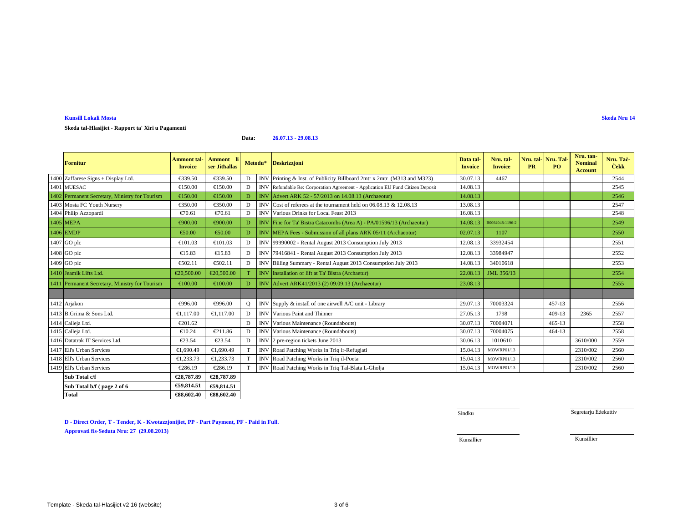#### **Data:26.07.13 - 29.08.13**

| <b>Fornitur</b>                                | Ammont tal-<br><b>Invoice</b> | Ammont li<br>ser Jithallas |   |            | Metodu* Deskrizzjoni                                                           | Data tal-<br><b>Invoice</b> | Nru. tal-<br><b>Invoice</b> | <b>PR</b> | Nru. tal   Nru. Tal<br>P <sub>O</sub> | Nru. tan-<br><b>Nominal</b><br><b>Account</b> | Nru. Tač<br><b>Cekk</b> |
|------------------------------------------------|-------------------------------|----------------------------|---|------------|--------------------------------------------------------------------------------|-----------------------------|-----------------------------|-----------|---------------------------------------|-----------------------------------------------|-------------------------|
| 1400 Zaffarese Signs + Display Ltd.            | €339.50                       | €339.50                    |   | <b>IN</b>  | Printing & Inst. of Publicity Billboard 2mtr x 2mtr (M313 and M323)            | 30.07.13                    | 4467                        |           |                                       |                                               | 2544                    |
| 1401 MUESAC                                    | €150.00                       | €150.00                    | D |            | INV Refundable Re: Corporation Agreement - Application EU Fund Citizen Deposit | 14.08.13                    |                             |           |                                       |                                               | 2545                    |
| 1402 Permanent Secretary, Ministry for Tourism | €150.0                        | €150.00                    | D |            | INV Advert ARK 52 - 57/2013 on 14.08.13 (Archaeotur)                           | 14.08.13                    |                             |           |                                       |                                               | 2546                    |
| 1403 Mosta FC Youth Nursery                    | €350.00                       | €350.00                    | D | <b>INV</b> | Cost of referees at the tournament held on $06.08.13 \& 12.08.13$              | 13.08.13                    |                             |           |                                       |                                               | 2547                    |
| 1404 Philip Azzopardi                          | €70.61                        | €70.61                     | D | <b>INV</b> | Various Drinksfor Local Feast 2013                                             | 16.08.13                    |                             |           |                                       |                                               | 2548                    |
| 1405 MEPA                                      | €900.00                       | €900.00                    | D | <b>INV</b> | Fine for Ta' Bistra Catacombs (Ara A) - PA/01596/13 (Archaeotur)               | 14.08.13                    | B0064048-1196-2             |           |                                       |                                               | 2549                    |
| 1406 EMDP                                      | €50.00                        | €50.00                     | D |            | INV MEPA Fees - Submission of all plansARK 05/11 (Archaeotur)                  | 02.07.13                    | 1107                        |           |                                       |                                               | 2550                    |
| 1407 GO plc                                    | €101.03                       | €101.03                    | D | <b>INV</b> | 99990002 - Rental August 2013 Conumption July 2013                             | 12.08.13                    | 33932454                    |           |                                       |                                               | 2551                    |
| 1408 GO plc                                    | €15.83                        | €15.83                     | D | <b>INV</b> | 79416841 - Rental August 2013 Consumption July 2013                            | 12.08.13                    | 33984947                    |           |                                       |                                               | 2552                    |
| 1409 GO plc                                    | €502.11                       | €502.11                    | D | <b>INV</b> | Billing Summary - Rental August 013 Consumption July 2013                      | 14.08.13                    | 34010618                    |           |                                       |                                               | 2553                    |
| 1410 Jeamik Lifts Ltd.                         | €20,500.00                    | €20,500.00                 |   | <b>INV</b> | Installation of lift at Ta' Bistra (Archaetur)                                 | 22.08.13                    | JML 356/13                  |           |                                       |                                               | 2554                    |
| 1411 Permanent Secretary, Ministry for Tourism | €100.0                        | €100.00                    | D |            | INV Advert ARK41/2013 (2) 09.09.13 (Archaectur)                                | 23.08.13                    |                             |           |                                       |                                               | 2555                    |
|                                                |                               |                            |   |            |                                                                                |                             |                             |           |                                       |                                               |                         |
| 1412 Arjakon                                   | €996.00                       | €996.00                    | O | <b>INV</b> | Supply & install of one airwell AC unit - Library                              | 29.07.13                    | 70003324                    |           | $457 - 13$                            |                                               | 2556                    |
| 1413 B.Grima & Sons Ltd                        | €1.117.00                     | €1.117.00                  | D | <b>INV</b> | Varion Paint and Thinner                                                       | 27.05.13                    | 1798                        |           | 409-13                                | 2365                                          | 2557                    |
| 1414 Calleja Ltd.                              | €201.62                       |                            | D | <b>INV</b> | Various Maintenance (Roundabouts)                                              | 30.07.13                    | 70004071                    |           | $465 - 13$                            |                                               | 2558                    |
| 1415 Calleja Ltd.                              | €10.24                        | €211.86                    | D | <b>INV</b> | Various Maintenane (Roundabouts)                                               | 30.07.13                    | 70004075                    |           | $464 - 13$                            |                                               | 2558                    |
| 1416 Datatrak IT Services Ltd.                 | €23.54                        | €23.54                     | D | <b>INV</b> | 2 preregion tickets June 2013                                                  | 30.06.13                    | 1010610                     |           |                                       | 3610/000                                      | 2559                    |
| 1417 Ell's Urban Services                      | €1.690.49                     | €1.690.49                  |   | <b>INV</b> | RoadPatching Works in Triq ir-Refugjati                                        | 15.04.13                    | MOWRP01/13                  |           |                                       | 2310/002                                      | 2560                    |
| 1418 Ell's Urban Services                      | €1,233.73                     | €1,233.73                  |   | <b>INV</b> | RoadPatching Works in Triq il-Poeta                                            | 15.04.13                    | MOWRP01/13                  |           |                                       | 2310/002                                      | 2560                    |
| 1419 Ell's Urban Services                      | €286.19                       | €286.19                    |   | <b>INV</b> | Road Pathing Works in Triq Tal-Blata L-Gholja                                  | 15.04.13                    | MOWRP01/13                  |           |                                       | 2310/002                                      | 2560                    |
| Sub Total c/f                                  | €28,787.89                    | €28,787.89                 |   |            |                                                                                |                             |                             |           |                                       |                                               |                         |
| Sub Total b/f (page 2 of 6)                    | €59,814.51                    | €59,814.51                 |   |            |                                                                                |                             |                             |           |                                       |                                               |                         |
| <b>Total</b>                                   | €88,602.40                    | €88,602.40                 |   |            |                                                                                |                             |                             |           |                                       |                                               |                         |

**Skeda Nru 14**

Sindku

Segretarju Eżekuttiv

**D - Direct Order, T - Tender, K - Kwotazzjonijiet, PP - Part Payment, PF - Paid in Full.Approvati fis-Seduta Nru: 27 (29.08.2013)**

**Total €88,602.40 €88,602.40**

Kunsillier

Kunsillier

**Kunsill Lokali Mosta**

**Skeda tal-Hlasijiet - Rapport ta' Xiri u Pagamenti**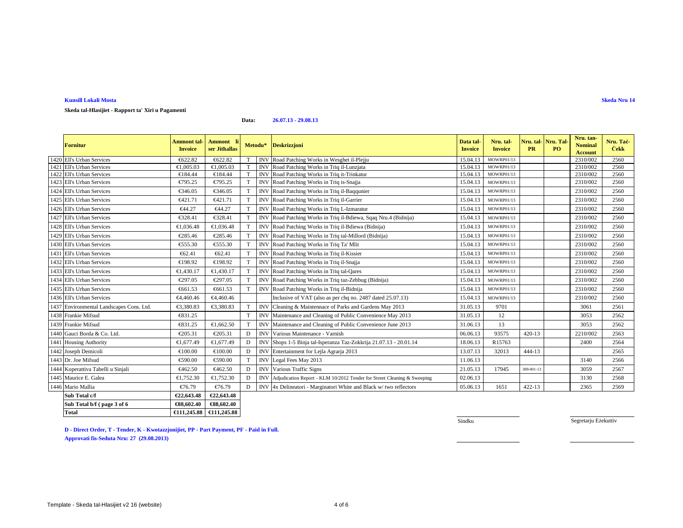#### **Kunsill Lokali MostaSkeda Nru 14**

**Skeda tal-Hlasijiet - Rapport ta' Xiri u Pagamenti**

**Data:26.07.13 - 29.08.13**

| Fornitur                                 | <b>Ammont</b> tal-<br><b>Invoice</b> | Ammont li<br>ser Jithallas |             | Metodu*    | <b>Deskrizzjoni</b>                                                     | Data tal-<br><b>Invoice</b> | Nru. tal-<br><b>Invoice</b> | Nru. tal-<br><b>PR</b> | Nru. Tal<br>PO. | Nru. tan<br><b>Nominal</b><br><b>Account</b> | Nru. Tac-<br><b>Cekk</b> |
|------------------------------------------|--------------------------------------|----------------------------|-------------|------------|-------------------------------------------------------------------------|-----------------------------|-----------------------------|------------------------|-----------------|----------------------------------------------|--------------------------|
| 1420 Ell's Urban Services                | €622.82                              | €622.82                    |             | <b>INV</b> | Road Pathing Works in Wesghet il-Plejju                                 | 15.04.13                    | <b>MOWRP01/13</b>           |                        |                 | 2310/002                                     | 2560                     |
| 1421 Ell's Urban Services                | €1,005.03                            | €1,005.03                  | T           | <b>INV</b> | RoadPatching Works in Triq il-Lunzjata                                  | 15.04.13                    | MOWRP01/13                  |                        |                 | 2310/002                                     | 2560                     |
| 1422 Ell's Urban Services                | €184.44                              | €184.44                    | T           | IN         | Road Pathing Works in Triq it-Trinkatur                                 | 15.04.13                    | <b>MOWRP01/13</b>           |                        |                 | 2310/002                                     | 2560                     |
| 1423 Ell's Urban Services                | €795.25                              | €795.25                    | T           | <b>INV</b> | Road Pathing Works in Triq is-Snajja                                    | 15.04.13                    | MOWRP01/13                  |                        |                 | 2310/002                                     | 2560                     |
| 1424 Ell's Urban Services                | €346.05                              | €346.05                    | T           | <b>INV</b> | Road Pathing Works in Triq il-Baqqunier                                 | 15.04.13                    | MOWRP01/13                  |                        |                 | 2310/002                                     | 2560                     |
| 1425 Ell's Urban Services                | €421.71                              | €421.71                    | T           | IN         | Road Pathing Works in Triq il-Garrier                                   | 15.04.13                    | MOWRP01/13                  |                        |                 | 2310/002                                     | 2560                     |
| 1426 Ell's Urban Services                | €44.27                               | €44.27                     | T           | <b>INV</b> | Road Patchig Works in Triq L-Izmaratur                                  | 15.04.13                    | MOWRP01/13                  |                        |                 | 2310/002                                     | 2560                     |
| 1427 Ell's Urban Services                | €328.41                              | €328.41                    | T           | <b>INV</b> | Road Pathing Works in Triq il-Bdiewa, Sqaq Nru.4 (Bidnija)              | 15.04.13                    | MOWRP01/13                  |                        |                 | 2310/002                                     | 2560                     |
| 1428 Ell's Urban Services                | €1,036.48                            | €1,036.48                  | T           | IN         | RoadPatching Works in Triq il-Bdiewa (Bidnija)                          | 15.04.13                    | MOWRP01/13                  |                        |                 | 2310/002                                     | 2560                     |
| 1429 Ell's Urban Services                | €285.46                              | €285.46                    | T           | <b>INV</b> | Road Pathing Works in Triq tal-Millord (Bidnija)                        | 15.04.13                    | MOWRP01/13                  |                        |                 | 2310/002                                     | 2560                     |
| 1430 Ell's Urban Services                | €555.30                              | €555.30                    | T           | <b>INV</b> | Road Pathing Works in Triq Ta' Mlit                                     | 15.04.13                    | MOWRP01/13                  |                        |                 | 2310/002                                     | 2560                     |
| 1431 Ell's Urban Services                | €62.41                               | €62.41                     | T           | <b>INV</b> | Road Patchig Works in Triq il-Kissier                                   | 15.04.13                    | MOWRP01/13                  |                        |                 | 2310/002                                     | 2560                     |
| 1432 Ell's Urban Services                | €198.92                              | €198.92                    | T           | <b>INV</b> | Road Pathing Works in Triq il-Snajja                                    | 15.04.13                    | MOWRP01/13                  |                        |                 | 2310/002                                     | 2560                     |
| 1433 Ell's Urban Services                | €1,430.17                            | €1,430.17                  | T           | <b>INV</b> | RoadPatching Works in Triq tal-Qares                                    | 15.04.13                    | MOWRP01/13                  |                        |                 | 2310/002                                     | 2560                     |
| 1434 Ell's Urban Services                | €297.05                              | €297.05                    | T           | IN         | Road Pathing Works in Triq taz-Zebbug (Bidnija)                         | 15.04.13                    | MOWRP01/13                  |                        |                 | 2310/002                                     | 2560                     |
| 1435 Ell's Urban Services                | €661.53                              | €661.53                    | T           | <b>INV</b> | Road Pathing Works in Triq il-Bidnija                                   | 15.04.13                    | <b>MOWRP01/13</b>           |                        |                 | 2310/002                                     | 2560                     |
| 1436 Ell's Urban Services                | €4,460.46                            | €4,460.46                  |             |            | Inclusive SVAT (also as per chq no. 2487 dated 25.07.13)                | 15.04.13                    | MOWRP01/13                  |                        |                 | 2310/002                                     | 2560                     |
| 1437 Environmental Landscapes Cons. Ltd. | €3,380.83                            | €3380.83                   | T           | <b>INV</b> | Cleaning & Maintennace of Parks and Gardens May 2013                    | 31.05.13                    | 9701                        |                        |                 | 3061                                         | 2561                     |
| 1438 Frankie Mifsud                      | €831.25                              |                            | T           | <b>INV</b> | Maintenance and Cleaning of Public Convenience May 2013                 | 31.05.13                    | 12                          |                        |                 | 3053                                         | 2562                     |
| 1439 Frankie Mifsud                      | €831.25                              | €1,662.50                  | T           | <b>INV</b> | Maintenance ad Cleaning of Public Convenience June 2013                 | 31.06.13                    | 13                          |                        |                 | 3053                                         | 2562                     |
| 1440 Gauci Borda & Co. Ltd.              | €205.31                              | €205.31                    | D           | <b>INV</b> | VariousMaintenance - Varnish                                            | 06.06.13                    | 93575                       | $420 - 13$             |                 | 2210/002                                     | 2563                     |
| 1441 Housing Authority                   | €1,677.49                            | €1,677.49                  | D           | IN         | Shops 15 Binja tal-Isperanza Taz-Zokkrija 21.07.13 - 20.01.14           | 18.06.13                    | R15763                      |                        |                 | 2400                                         | 2564                     |
| 1442 Joseph Demicoli                     | €100.00                              | €100.00                    | $\mathbf D$ | <b>INV</b> | Entertainmenfor Lejla Agrarja 2013                                      | 13.07.13                    | 32013                       | 444-13                 |                 |                                              | 2565                     |
| 1443 Dr. Joe Mifsud                      | €590.00                              | €590.00                    | T           | <b>INV</b> | Legal Fees May2013                                                      | 11.06.13                    |                             |                        |                 | 3140                                         | 2566                     |
| 1444 Koperattiva Tabelli u Sinjali       | €462.50                              | €462.50                    | D           | INV        | Various Traffic Signs                                                   | 21.05.13                    | 17945                       | 389/401-13             |                 | 3059                                         | 2567                     |
| 1445 Maurice E. Galea                    | €1,752.30                            | €1,752.30                  | D           | <b>INV</b> | Adjudication Report - KLM 10/2012 Tender for Street Cleaning & Sweeping | 02.06.13                    |                             |                        |                 | 3130                                         | 2568                     |
| 1446 Mario Mallia                        | €76.79                               | €76.79                     | D           | <b>INV</b> | 4x Delineatori - Maginatori White and Black w/two reflectors            | 05.06.13                    | 1651                        | 422-13                 |                 | 2365                                         | 2569                     |
| Sub Total c/f                            | €22,643.48                           | €22,643.48                 |             |            |                                                                         |                             |                             |                        |                 |                                              |                          |
| Sub Total b/f (page 3 of 6               | €88,602.40                           | €88,602.40                 |             |            |                                                                         |                             |                             |                        |                 |                                              |                          |

**D - Direct Order, T - Tender, K - Kwotazzjonijiet, PP - Part Payment, PF - Paid in Full. Approvati fis-Seduta Nru: 27 (29.08.2013)**

**€111,245.88 €111,245.88**

Sindku

Segretarju Eżekuttiv

**Total**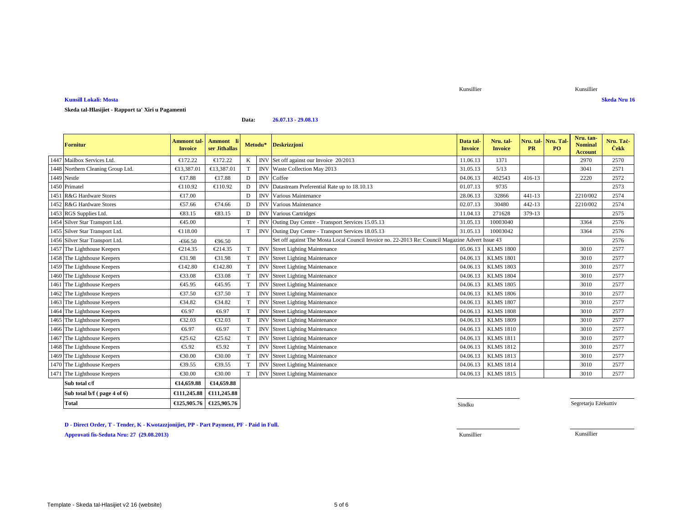### **Kunsill Lokali: MostaSkeda Nru 16**

# **Skeda tal-Ħlasijiet - Rapport ta' Xiri u Pagamenti**

#### **Data:26.07.13 - 29.08.13**

| <b>Fornitur</b>                   | Ammont tal·<br><b>Invoice</b> | Ammont li<br>ser Jithallas | Metodu* |            | <b>Deskrizzjoni</b>                                                                              | Data tal<br><b>Invoice</b> | Nru. tal-<br><b>Invoice</b> | Nru. tal   Nru. Tal<br><b>PR</b> | <b>PO</b> | Nru. tan-<br><b>Nominal</b><br><b>Account</b> | Nru. Taċ-<br><b>Cekk</b> |
|-----------------------------------|-------------------------------|----------------------------|---------|------------|--------------------------------------------------------------------------------------------------|----------------------------|-----------------------------|----------------------------------|-----------|-----------------------------------------------|--------------------------|
| 1447 Mailbox Services Ltd.        | €172.22                       | €172.22                    | K       |            | INV Set of fagainst our Invoice 20/2013                                                          | 11.06.13                   | 1371                        |                                  |           | 2970                                          | 2570                     |
| 1448 Northern Cleaning Group Ltd. | €13,387.01                    | €13,387.0                  | T       | <b>INV</b> | Waste Collection May 2013                                                                        | 31.05.13                   | 5/13                        |                                  |           | 3041                                          | 2571                     |
| 1449 Nestle                       | €17.88                        | €17.88                     | D       | <b>INV</b> | Coffee                                                                                           | 04.06.13                   | 402543                      | 416-13                           |           | 2220                                          | 2572                     |
| 1450 Primatel                     | €110.92                       | €110.92                    | D       | IN'        | Datastream Preferential Rate up t 18.10.13                                                       | 01.07.13                   | 9735                        |                                  |           |                                               | 2573                     |
| 1451 R&G Hardware Stores          | €17.00                        |                            | D       | <b>INV</b> | Various Maintenance                                                                              | 28.06.13                   | 32866                       | $441 - 13$                       |           | 2210/002                                      | 2574                     |
| 1452 R&G Hardware Stores          | €57.66                        | €74.66                     | D       | IN'        | Various Maitenance                                                                               | 02.07.13                   | 30480                       | 442-13                           |           | 2210/002                                      | 2574                     |
| 1453 RGS Supplies Ltd.            | €83.15                        | €83.15                     | D       | <b>INV</b> | Various Cartidges                                                                                | 11.04.13                   | 271628                      | 379-13                           |           |                                               | 2575                     |
| 1454 Silver Star Transport Ltd.   | €45.00                        |                            | T       | <b>INV</b> | Outing DayCentre - Transport Services 15.05.13                                                   | 31.05.13                   | 10003040                    |                                  |           | 3364                                          | 2576                     |
| 1455 Silver Star Transport Ltd.   | €118.00                       |                            | T       | <b>INV</b> | Outing DayCentre - Transport Services 18.05.13                                                   | 31.05.13                   | 10003042                    |                                  |           | 3364                                          | 2576                     |
| 1456 Silver Star Transport Ltd.   | $-666.50$                     | €96.50                     |         |            | Set off against The Mosta Local Council Invoice no. 22-2013 Re: Council Magazine Advert Issue 43 |                            |                             |                                  |           |                                               | 2576                     |
| 1457 The Lighthouse Keepers       | €214.35                       | €214.35                    | T       |            | <b>INV</b> StreetLighting Maintenance                                                            | 05.06.13                   | <b>KLMS 1800</b>            |                                  |           | 3010                                          | 2577                     |
| 1458 The Lighthouse Keepers       | €31.98                        | €31.98                     | T       | <b>INV</b> | Street Lighting Maintenance                                                                      | 04.06.13                   | <b>KLMS 1801</b>            |                                  |           | 3010                                          | 2577                     |
| 1459 The Lighthouse Keepers       | €142.80                       | €142.80                    | T       | <b>INV</b> | StreetLighting Maintenance                                                                       | 04.06.13                   | <b>KLMS 1803</b>            |                                  |           | 3010                                          | 2577                     |
| 1460 The Lighthouse Keepers       | €33.08                        | €33.08                     | T       | <b>INV</b> | Street Lighting Maintenance                                                                      | 04.06.13                   | <b>KLMS 1804</b>            |                                  |           | 3010                                          | 2577                     |
| 1461 The Lighthouse Keepers       | €45.95                        | €45.95                     | T       | <b>INV</b> | Street Lighting Maintenance                                                                      | 04.06.13                   | <b>KLMS 1805</b>            |                                  |           | 3010                                          | 2577                     |
| 1462 The Lighthouse Keepers       | €37.50                        | €37.50                     | T       | INV        | Street Lahting Maintenance                                                                       | 04.06.13                   | <b>KLMS 1806</b>            |                                  |           | 3010                                          | 2577                     |
| 1463 The Lighthouse Keepers       | €34.82                        | €34.82                     | T       | <b>INV</b> | Street Lighting Maintenance                                                                      | 04.06.13                   | <b>KLMS 1807</b>            |                                  |           | 3010                                          | 2577                     |
| 1464 The Lighthouse Keepers       | €6.97                         | €6.97                      | T       | <b>INV</b> | <b>Street Lighing Maintenance</b>                                                                | 04.06.13                   | <b>KLMS 1808</b>            |                                  |           | 3010                                          | 2577                     |
| 1465 The Lighthouse Keepers       | €32.03                        | €32.03                     | T       | <b>INV</b> | Street Lighting Maintenance                                                                      | 04.06.13                   | <b>KLMS 1809</b>            |                                  |           | 3010                                          | 2577                     |
| 1466 The Lighthouse Keepers       | €6.97                         | €6.97                      | T       | <b>INV</b> | <b>Street Lighing Maintenance</b>                                                                | 04.06.13                   | <b>KLMS 1810</b>            |                                  |           | 3010                                          | 2577                     |
| 1467 The Lighthouse Keepers       | €25.62                        | €25.62                     | T       | <b>INV</b> | Street Lihting Maintenance                                                                       | 04.06.13                   | <b>KLMS 1811</b>            |                                  |           | 3010                                          | 2577                     |
| 1468 The Lighthouse Keepers       | €5.92                         | €5.92                      | T       | IN         | <b>Street Lighing Maintenance</b>                                                                | 04.06.13                   | <b>KLMS 1812</b>            |                                  |           | 3010                                          | 2577                     |
| 1469 The Lighthouse Keepers       | €30.00                        | €30.00                     | T       | <b>INV</b> | Street Lahting Maintenance                                                                       | 04.06.13                   | <b>KLMS 1813</b>            |                                  |           | 3010                                          | 2577                     |
| 1470 The Lighthouse Keepers       | €39.55                        | €39.55                     | T       | <b>INV</b> | Street Lighting Maintenance                                                                      | 04.06.13                   | <b>KLMS 1814</b>            |                                  |           | 3010                                          | 2577                     |
| 1471 The Lighthouse Keepers       | €30.00                        | €30.00                     | T       | <b>INV</b> | Street Lighting Maintenance                                                                      | 04.06.13                   | <b>KLMS 1815</b>            |                                  |           | 3010                                          | 2577                     |
| Sub total c/f                     | €14,659.88                    | €14,659.88                 |         |            |                                                                                                  |                            |                             |                                  |           |                                               |                          |
| Sub total b/f (page 4 of 6)       |                               | €111,245.88 €111,245.88    |         |            |                                                                                                  |                            |                             |                                  |           |                                               |                          |

**Sindku** Sindku Sindku Sindku Sindku Sindku Sindku Sindku Sindku Sindku Sindku Sindku Sindku Sindku Sindku Sindku

**D - Direct Order, T - Tender, K - Kwotazzjonijiet, PP - Part Payment, PF - Paid in Full.**

**Total €125,905.76 €125,905.76**

**Approvati fis-Seduta Nru: 27 (29.08.2013)**

Kunsillier Kunsillier

Segretarju Eżekuttiv

Kunsillier